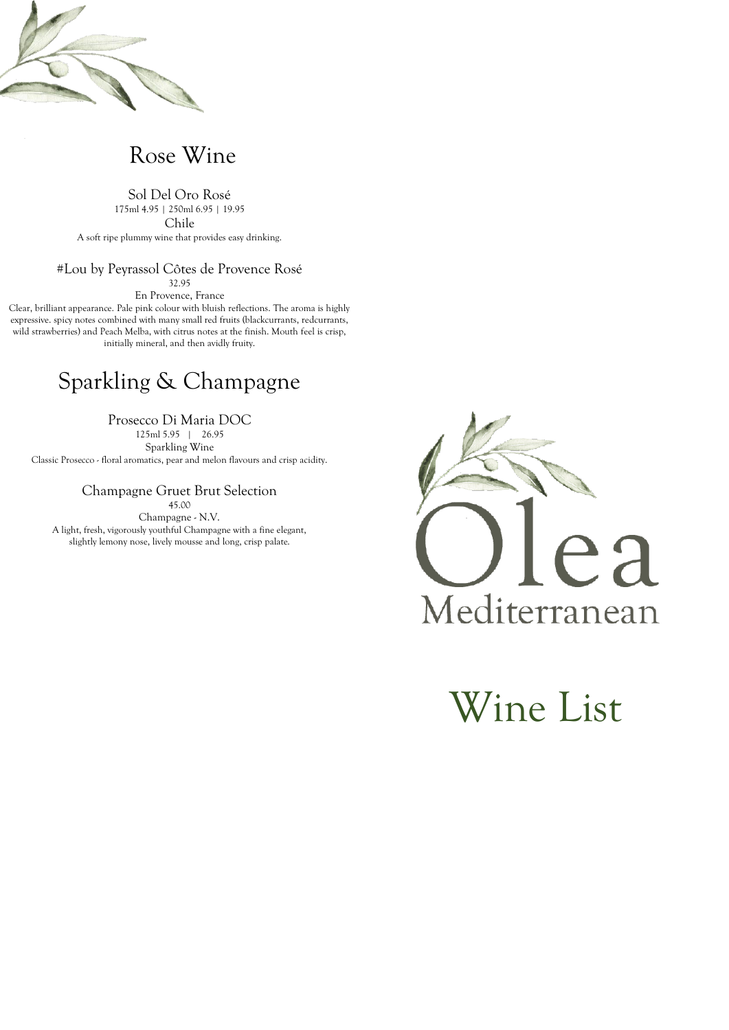

## Rose Wine

Sol Del Oro Rosé 175ml 4.95 | 250ml 6.95 | 19.95 Chile A soft ripe plummy wine that provides easy drinking.

## #Lou by Peyrassol Côtes de Provence Rosé

32.95 En Provence, France

Clear, brilliant appearance. Pale pink colour with bluish reflections. The aroma is highly expressive. spicy notes combined with many small red fruits (blackcurrants, redcurrants, wild strawberries) and Peach Melba, with citrus notes at the finish. Mouth feel is crisp, initially mineral, and then avidly fruity.

# Sparkling & Champagne

Prosecco Di Maria DOC

125ml 5.95 | 26.95 Sparkling Wine Classic Prosecco - floral aromatics, pear and melon flavours and crisp acidity.

Champagne Gruet Brut Selection

45.00

Champagne - N.V. A light, fresh, vigorously youthful Champagne with a fine elegant, slightly lemony nose, lively mousse and long, crisp palate.



Wine List